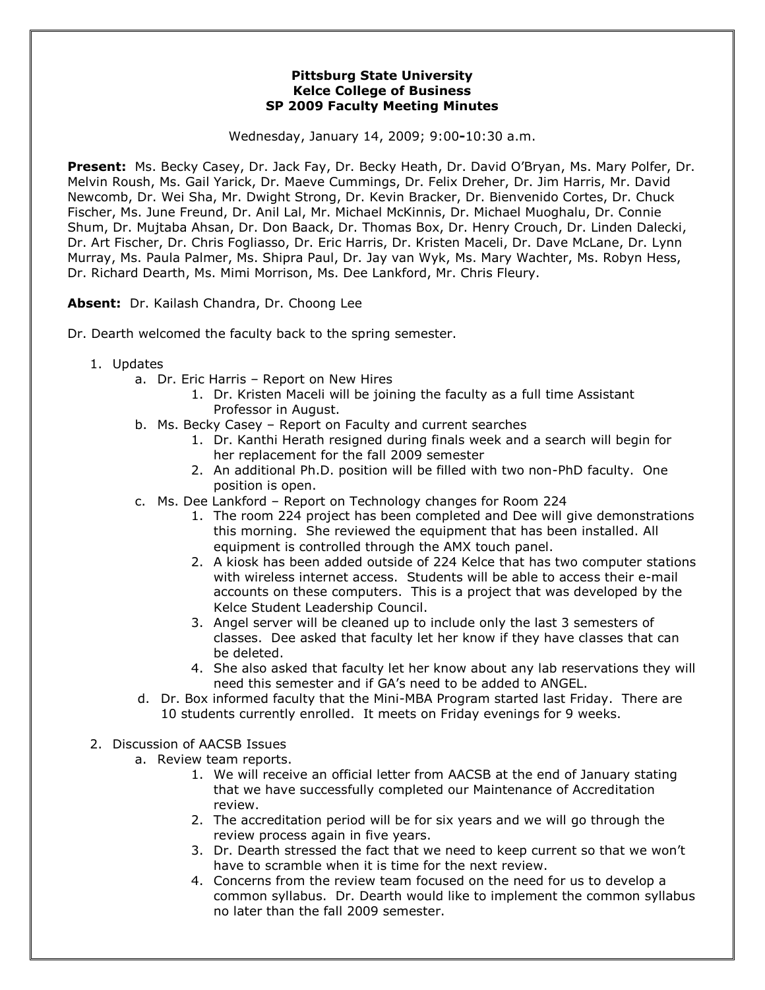## **Pittsburg State University Kelce College of Business SP 2009 Faculty Meeting Minutes**

Wednesday, January 14, 2009; 9:00**-**10:30 a.m.

**Present:** Ms. Becky Casey, Dr. Jack Fay, Dr. Becky Heath, Dr. David O'Bryan, Ms. Mary Polfer, Dr. Melvin Roush, Ms. Gail Yarick, Dr. Maeve Cummings, Dr. Felix Dreher, Dr. Jim Harris, Mr. David Newcomb, Dr. Wei Sha, Mr. Dwight Strong, Dr. Kevin Bracker, Dr. Bienvenido Cortes, Dr. Chuck Fischer, Ms. June Freund, Dr. Anil Lal, Mr. Michael McKinnis, Dr. Michael Muoghalu, Dr. Connie Shum, Dr. Mujtaba Ahsan, Dr. Don Baack, Dr. Thomas Box, Dr. Henry Crouch, Dr. Linden Dalecki, Dr. Art Fischer, Dr. Chris Fogliasso, Dr. Eric Harris, Dr. Kristen Maceli, Dr. Dave McLane, Dr. Lynn Murray, Ms. Paula Palmer, Ms. Shipra Paul, Dr. Jay van Wyk, Ms. Mary Wachter, Ms. Robyn Hess, Dr. Richard Dearth, Ms. Mimi Morrison, Ms. Dee Lankford, Mr. Chris Fleury.

**Absent:** Dr. Kailash Chandra, Dr. Choong Lee

Dr. Dearth welcomed the faculty back to the spring semester.

- 1. Updates
	- a. Dr. Eric Harris Report on New Hires
		- 1. Dr. Kristen Maceli will be joining the faculty as a full time Assistant Professor in August.
	- b. Ms. Becky Casey Report on Faculty and current searches
		- 1. Dr. Kanthi Herath resigned during finals week and a search will begin for her replacement for the fall 2009 semester
		- 2. An additional Ph.D. position will be filled with two non-PhD faculty. One position is open.
	- c. Ms. Dee Lankford Report on Technology changes for Room 224
		- 1. The room 224 project has been completed and Dee will give demonstrations this morning. She reviewed the equipment that has been installed. All equipment is controlled through the AMX touch panel.
		- 2. A kiosk has been added outside of 224 Kelce that has two computer stations with wireless internet access. Students will be able to access their e-mail accounts on these computers. This is a project that was developed by the Kelce Student Leadership Council.
		- 3. Angel server will be cleaned up to include only the last 3 semesters of classes. Dee asked that faculty let her know if they have classes that can be deleted.
		- 4. She also asked that faculty let her know about any lab reservations they will need this semester and if GA's need to be added to ANGEL.
	- d. Dr. Box informed faculty that the Mini-MBA Program started last Friday. There are 10 students currently enrolled. It meets on Friday evenings for 9 weeks.
- 2. Discussion of AACSB Issues
	- a. Review team reports.
		- 1. We will receive an official letter from AACSB at the end of January stating that we have successfully completed our Maintenance of Accreditation review.
		- 2. The accreditation period will be for six years and we will go through the review process again in five years.
		- 3. Dr. Dearth stressed the fact that we need to keep current so that we won't have to scramble when it is time for the next review.
		- 4. Concerns from the review team focused on the need for us to develop a common syllabus. Dr. Dearth would like to implement the common syllabus no later than the fall 2009 semester.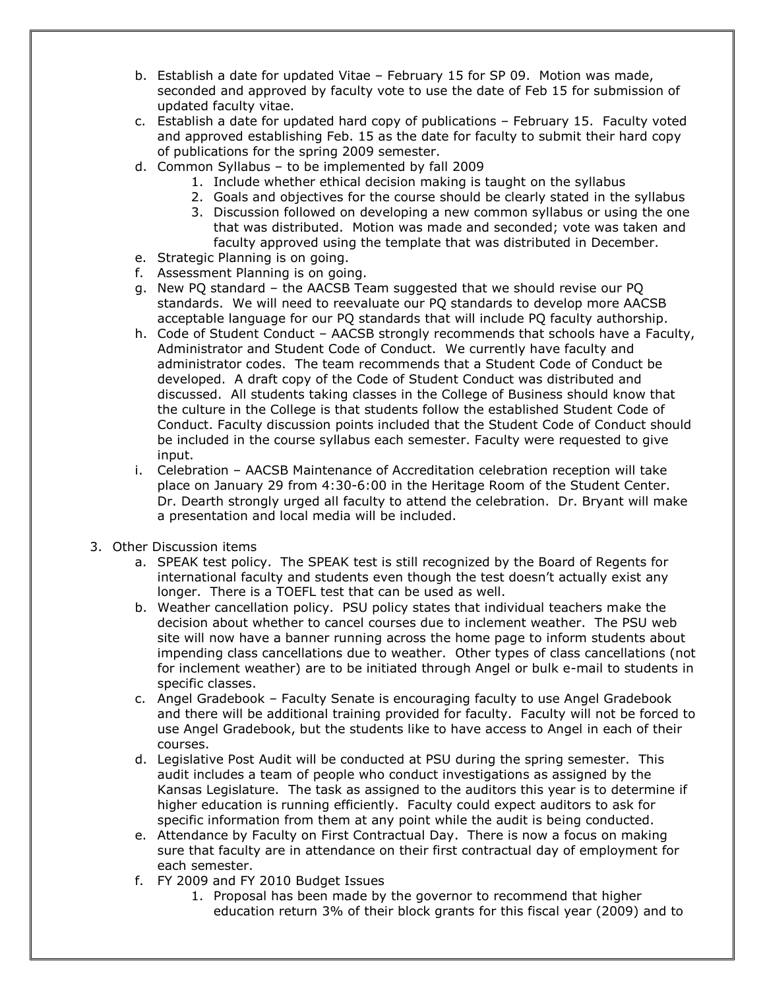- b. Establish a date for updated Vitae February 15 for SP 09. Motion was made, seconded and approved by faculty vote to use the date of Feb 15 for submission of updated faculty vitae.
- c. Establish a date for updated hard copy of publications February 15. Faculty voted and approved establishing Feb. 15 as the date for faculty to submit their hard copy of publications for the spring 2009 semester.
- d. Common Syllabus to be implemented by fall 2009
	- 1. Include whether ethical decision making is taught on the syllabus
	- 2. Goals and objectives for the course should be clearly stated in the syllabus
	- 3. Discussion followed on developing a new common syllabus or using the one that was distributed. Motion was made and seconded; vote was taken and faculty approved using the template that was distributed in December.
- e. Strategic Planning is on going.
- f. Assessment Planning is on going.
- g. New PQ standard the AACSB Team suggested that we should revise our PQ standards. We will need to reevaluate our PQ standards to develop more AACSB acceptable language for our PQ standards that will include PQ faculty authorship.
- h. Code of Student Conduct AACSB strongly recommends that schools have a Faculty, Administrator and Student Code of Conduct. We currently have faculty and administrator codes. The team recommends that a Student Code of Conduct be developed. A draft copy of the Code of Student Conduct was distributed and discussed. All students taking classes in the College of Business should know that the culture in the College is that students follow the established Student Code of Conduct. Faculty discussion points included that the Student Code of Conduct should be included in the course syllabus each semester. Faculty were requested to give input.
- i. Celebration AACSB Maintenance of Accreditation celebration reception will take place on January 29 from 4:30-6:00 in the Heritage Room of the Student Center. Dr. Dearth strongly urged all faculty to attend the celebration. Dr. Bryant will make a presentation and local media will be included.
- 3. Other Discussion items
	- a. SPEAK test policy. The SPEAK test is still recognized by the Board of Regents for international faculty and students even though the test doesn't actually exist any longer. There is a TOEFL test that can be used as well.
	- b. Weather cancellation policy. PSU policy states that individual teachers make the decision about whether to cancel courses due to inclement weather. The PSU web site will now have a banner running across the home page to inform students about impending class cancellations due to weather. Other types of class cancellations (not for inclement weather) are to be initiated through Angel or bulk e-mail to students in specific classes.
	- c. Angel Gradebook Faculty Senate is encouraging faculty to use Angel Gradebook and there will be additional training provided for faculty. Faculty will not be forced to use Angel Gradebook, but the students like to have access to Angel in each of their courses.
	- d. Legislative Post Audit will be conducted at PSU during the spring semester. This audit includes a team of people who conduct investigations as assigned by the Kansas Legislature. The task as assigned to the auditors this year is to determine if higher education is running efficiently. Faculty could expect auditors to ask for specific information from them at any point while the audit is being conducted.
	- e. Attendance by Faculty on First Contractual Day. There is now a focus on making sure that faculty are in attendance on their first contractual day of employment for each semester.
	- f. FY 2009 and FY 2010 Budget Issues
		- 1. Proposal has been made by the governor to recommend that higher education return 3% of their block grants for this fiscal year (2009) and to